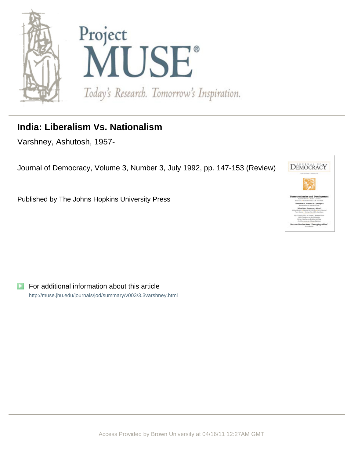



## **India: Liberalism Vs. Nationalism**

Varshney, Ashutosh, 1957-

Journal of Democracy, Volume 3, Number 3, July 1992, pp. 147-153 (Review)

Published by The Johns Hopkins University Press





For additional information about this article <http://muse.jhu.edu/journals/jod/summary/v003/3.3varshney.html>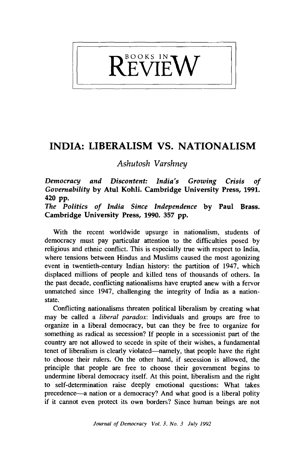## **BOOKS IN**

## **INDIA: LIBERALISM VS. NATIONALISM**

*Ashutosh Varshney* 

*Democracy and Discontent: India's Growing Crisis of Governability* by Atul Kohli. Cambridge University Press, 1991. **420 pp.** 

*The Politics of India Since Independence* by Paul **Brass. Cambridge University Press, 1990. 357 pp.** 

With the recent worldwide upsurge in nationalism, students of democracy must pay particular attention to the difficulties posed by religious and ethnic conflict. This is especially true with respect to India, where tensions between Hindus and Muslims caused the most agonizing event in twentieth-century Indian history: the partition of 1947, which displaced millions of people and killed tens of thousands of others, In the past decade, conflicting nationalisms have erupted anew with a fervor unmatched since 1947, challenging the integrity of India as a nationstate.

Conflicting nationalisms threaten political liberalism by creating what may be called a *liberal paradox:* Individuals and groups are free to organize in a liberal democracy, but can they be free to organize for something as radical as secession? If people in a secessionist part of the country are not allowed to secede in spite of their wishes, a fundamental tenet of liberalism is clearly violated—namely, that people have the right to choose their rulers. On the other hand, if secession is allowed, the principle that people are free to choose their government begins to undermine liberal democracy itself. At this point, liberalism and the right to self-determination raise deeply emotional questions: What takes precedence--a nation or a democracy? And what good is a liberal polity if it cannot even protect its own borders? Since human beings are not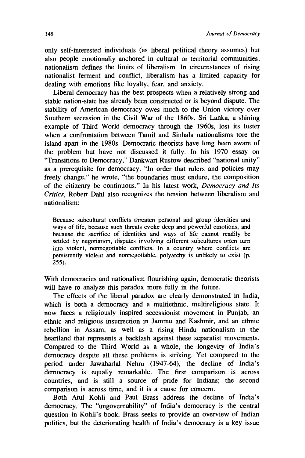only self-interested individuals (as liberal political theory assumes) but also people emotionally anchored in cultural or territorial communities, nationalism defines the limits of liberalism. In circumstances of rising nationalist ferment and conflict, liberalism has a limited capacity for dealing with emotions like loyalty, fear, and anxiety.

Liberal democracy has the best prospects when a relatively strong and stable nation-state has already been constructed or is beyond dispute. The stability of American democracy owes much to the Union victory over Southern secession in the Civil War of the 1860s. Sri Lanka, a shining example of Third World democracy through the 1960s, lost its luster when a confrontation between Tamil and Sinhala nationalisms tore the island apart in the 1980s. Democratic theorists have long been aware of the problem but have not discussed it fully. In his 1970 essay on "Transitions to Democracy," Dankwart Rustow described "national unity" as a prerequisite for democracy. "In order that rulers and policies may freely change," he wrote, "the boundaries must endure, the composition of the citizenry be continuous." In his latest work, *Democracy and Its Critics,* Robert Dahl also recognizes the tension between liberalism and nationalism:

Because subcultural conflicts threaten personal and group identities and ways of life, because such threats evoke deep and powerful emotions, and because the sacrifice of identities and ways of life cannot readily be settled by negotiation, disputes involving different subcultures often turn into violent, nonnegotiable conflicts. In a country where conflicts are persistently violent and nonnegotiable, polyarchy is unlikely to exist (p. 255).

With democracies and nationalism flourishing again, democratic theorists will have to analyze this paradox more fully in the future.

The effects of the liberal paradox are clearly demonstrated in India, which is both a democracy and a multiethnic, multireligious state. It now faces a religiously inspired secessionist movement in Punjab, an ethnic and religious insurrection in Jammu and Kashmir, and an ethnic rebellion in Assam, as well as a rising Hindu nationalism in the heartland that represents a backlash against these separatist movements. Compared to the Third World as a whole, the longevity of India's democracy despite all these problems is striking. Yet compared to the period under Jawaharlal Nehru (1947-64), the decline of India's democracy is equally remarkable. The first comparison is across countries, and is still a source of pride for Indians; the second comparison is across time, and it is a cause for concern.

Both Atul Kohli and Paul Brass address the decline of India's democracy. The "ungovernability" of India's democracy is the central question in Kohli's book. Brass seeks to provide an overview of Indian politics, but the deteriorating health of India's democracy is a key issue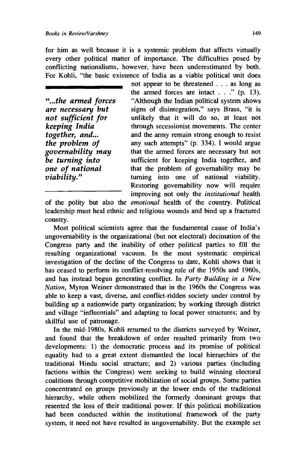for him as well because it is a systemic problem that affects virtually every other political matter of importance. The difficulties posed by conflicting nationalisms, however, have been underestimated by both. For Kohli, "the basic existence of India as a viable political unit does

*"...the armed forces are necessary but not sufficient for keeping India together, and... the problem of governability may be turning into one of national viability."* 

not appear to be threatened.., as long as the armed forces are intact  $\ldots$  " (p. 13). "Although the Indian political system shows signs of disintegration," says Brass, "it is unlikely that it will do so, at least not through secessionist movements. The center and the army remain strong enough to resist any such attempts" (p. 334). I would argue that the armed forces are necessary but not sufficient for keeping India together, and that the problem of governability may be turning into one of national viability. Restoring governability now will require improving not only the *institutional* health

of the polity but also the *emotional* health of the country. Political leadership must heal ethnic and religious wounds and bind up a fractured country.

Most political scientists agree that the fundamental cause of India's ungovemability is the organizational (but not electoral) decimation of the Congress party and the inability of other political parties to fill the resulting organizational vacuum. In the most systematic empirical investigation of the decline of the Congress to date, Kohli shows that it has ceased to perform its conflict-resolving role of the 1950s and 1960s, and has instead begun generating conflict. In *Party Building in a New Nation,* Myron Weiner demonstrated that in the 1960s the Congress was able to keep a vast, diverse, and conflict-ridden society under control by building up a nationwide party organization; by working through district and village "influentials" and adapting to local power structures; and by skillful use of patronage.

In the mid-1980s, Kohli returned to the districts surveyed by Weiner, and found that the breakdown of order resulted primarily from two developments: 1) the democratic process and its promise of political equality had to a great extent dismantled the local hierarchies of the traditional Hindu social structure; and 2) various parties (including factions within the Congress) were seeking to build winning electoral coalitions through competitive mobilization of social groups. Some parties concentrated on groups previously at the lower ends of the traditional hierarchy, while others mobilized the formerly dominant groups that resented the loss of their traditional power. If this political mobilization had been conducted within the institutional framework of the party system, it need not have resulted in ungovernability. But the example set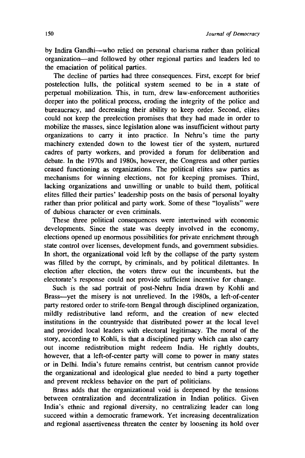by Indira Gandhi—who relied on personal charisma rather than political organization--and followed by other regional parties and leaders led to the emaciation of political parties.

The decline of parties had three consequences. First, except for brief postelection lulls, the political system seemed to be in a state of perpetual mobilization. This, in turn, drew law-enforcement authorities deeper into the political process, eroding the integrity of the police and bureaucracy, and decreasing their ability to keep order. Second, elites could not keep the preelection promises that they had made in order to mobilize the masses, since legislation alone was insufficient without party organizations to carry it into practice. In Nehru's time the party machinery extended down to the lowest tier of the system, nurtured cadres of party workers, and provided a forum for deliberation and debate. In the 1970s and 1980s, however, the Congress and other parties ceased functioning as organizations. The political elites saw parties as mechanisms for winning elections, not for keeping promises. Third, lacking organizations and unwilling or unable to build them, political elites filled their parties' leadership posts on the basis of personal loyalty rather than prior political and party work. Some of these "loyalists" were of dubious character or even criminals.

These three political consequences were intertwined with economic developments. Since the state was deeply involved in the economy, elections opened up enormous possibilities for private enrichment through state control over licenses, development funds, and government subsidies. In short, the organizational void left by the collapse of the party system was filled by the corrupt, by criminals, and by political dilettantes. In election after election, the voters threw out the incumbents, but the electorate's response could not provide sufficient incentive for change.

Such is the sad portrait of post-Nehru India drawn by Kohli and Brass--yet the misery is not unrelieved. In the 1980s, a left-of-center party restored order to strife-torn Bengal through disciplined organization, mildly redistributive land reform, and the creation of new elected institutions in the countryside that distributed power at the local level and provided local leaders with electoral legitimacy. The moral of the story, according to Kohli, is that a disciplined party which can also carry out income redistribution might redeem India. He rightly doubts, however, that a left-of-center party will come to power in many states or in Delhi. India's future remains centrist, but centrism cannot provide the organizational and ideological glue needed to bind a party together and prevent reckless behavior on the part of politicians.

Brass adds that the organizational void is deepened by the tensions between centralization and decentralization in Indian politics. Given India's ethnic and regional diversity, no centralizing leader can long succeed within a democratic framework. Yet increasing decentralization and regional assertiveness threaten the center by loosening its hold over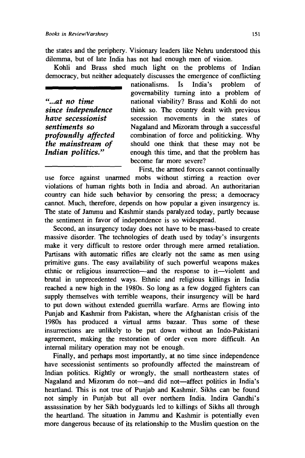the states and the periphery. Visionary leaders like Nehru understood this dilemma, but of late India has not had enough men of vision.

Kohli and Brass shed much light on the problems of Indian democracy, but neither adequately discusses the emergence of conflicting

*"...at no time since independence have secessionist sentiments so profoundly affected the mainstream of Indian politics."* 

nationalisms. Is India's problem of governability turning into a problem of national viability? Brass and Kohli do not think so. The country dealt with previous secession movements in the states of Nagaland and Mizoram through a successful combination of force and politicking. Why should one think that these may not be enough this time, and that the problem has become far more severe?

First, the armed forces cannot continually use force against unarmed mobs without stirring a reaction over violations of human rights both in India and abroad. An authoritarian country can hide such behavior by censoring the press; a democracy cannot. Much, therefore, depends on how popular a given insurgency is. The state of Jammu and Kashmir stands paralyzed today, partly because the sentiment in favor of independence is so widespread.

Second, an insurgency today does not have to be mass-based to create massive disorder. The technologies of death used by today's insurgents make it very difficult to restore order through mere armed retaliation. Partisans with automatic rifles are clearly not the same as men using primitive guns. The easy availability of such powerful weapons makes ethnic or religious insurrection—and the response to it—violent and brutal in unprecedented ways. Ethnic and religious killings in India reached a new high in the 1980s. So long as a few dogged fighters can supply themselves with terrible weapons, their insurgency will be hard to put down without extended guerrilla warfare. Arms are flowing into Punjab and Kashmir from Pakistan, where the Afghanistan crisis of the 1980s has produced a virtual arms bazaar. Thus some of these insurrections are unlikely to be put down without an Indo-Pakistani agreement, making the restoration of order even more difficult. An internal military operation may not be enough.

Finally, and perhaps most importantly, at no time since independence have secessionist sentiments so profoundly affected the mainstream of Indian politics. Rightly or wrongly, the small northeastern states of Nagaland and Mizoram do not-and did not--affect politics in India's heartland. This is not true of Punjab and Kashmir. Sikhs can be found not simply in Punjab but all over northern India. Indira Gandhi's assassination by her Sikh bodyguards led to killings of Sikhs all through the heartland. The situation in Jammu and Kashmir is potentially even more dangerous because of its relationship to the Muslim question on the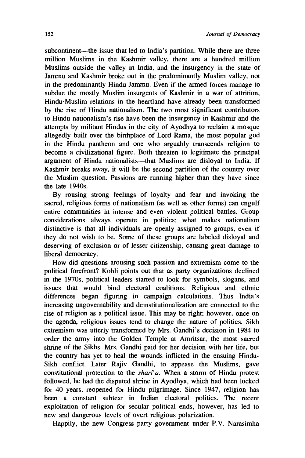subcontinent—the issue that led to India's partition. While there are three million Muslims in the Kashmir valley, there are a hundred million Muslims outside the valley in India, and the insurgency in the state of Jammu and Kashmir broke out in the predominantly Muslim valley, not in the predominantly Hindu Jammu. Even if the armed forces manage to subdue the mostly Muslim insurgents of Kashmir in a war of attrition, Hindu-Muslim relations in the heartland have already been transformed by the rise of Hindu nationalism. The two most significant contributors to Hindu nationalism's rise have been the insurgency in Kashmir and the attempts by militant Hindus in the city of Ayodhya to reclaim a mosque allegedly built over the birthplace of Lord Rama, the most popular god in the Hindu pantheon and one who arguably transcends religion to become a civilizational figure. Both threaten to legitimate the principal argument of Hindu nationalists—that Muslims are disloyal to India. If Kashmir breaks away, it will be the second partition of the country over the Muslim question. Passions are running higher than they have since the late 1940s,

By rousing strong feelings of loyalty and fear and invoking the sacred, religious forms of nationalism (as well as other forms) can engulf entire communities in intense and even violent political battles. Group considerations always operate in politics; what makes nationalism distinctive is that all individuals are openly assigned to groups, even if they do not wish to be. Some of these groups are labeled disloyal and deserving of exclusion or of lesser citizenship, causing great damage to liberal democracy.

How did questions arousing such passion and extremism come to the political forefront? Kohli points out that as party organizations declined in the 1970s, political leaders started to look for symbols, slogans, and issues that would bind electoral coalitions. Religious and ethnic differences began figuring in campaign calculations. Thus India's increasing ungovemability and deinstitutionalization are connected to the rise of religion as a political issue. This may be right; however, once on the agenda, religious issues tend to change the nature of politics. Sikh extremism was utterly transformed by Mrs. Gandhi's decision in 1984 to order the army into the Golden Temple at Amritsar, the most sacred shrine of the Sikhs. Mrs. Gandhi paid for her decision with her life, but the country has yet to heal the wounds inflicted in the ensuing Hindu-Sikh conflict. Later Rajiv Gandhi, to appease the Muslims, gave constitutional protection to the *shari'a.* When a storm of Hindu protest followed, he had the disputed shrine in Ayodhya, which had been locked for 40 years, reopened for Hindu pilgrimage. Since 1947, religion has been a constant subtext in Indian electoral politics. The recent exploitation of religion for secular political ends, however, has led to new and dangerous levels of overt religious polarization.

Happily, the new Congress party government under P.V. Narasimha